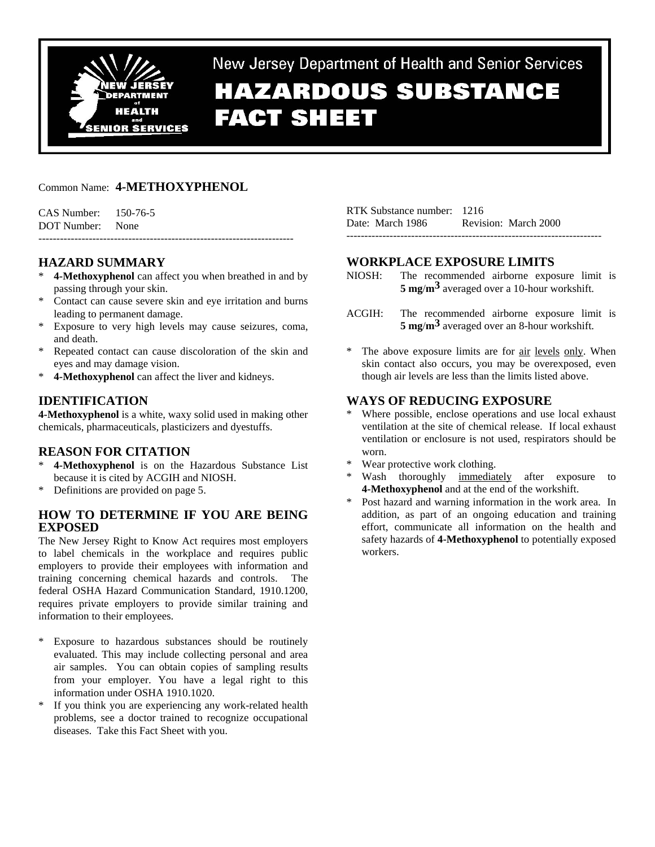

New Jersey Department of Health and Senior Services

# **HAZARDOUS SUBSTANCE FACT SHEET**

# Common Name: **4-METHOXYPHENOL**

CAS Number: 150-76-5 DOT Number: None -----------------------------------------------------------------------

# **HAZARD SUMMARY**

- **4-Methoxyphenol** can affect you when breathed in and by passing through your skin.
- Contact can cause severe skin and eye irritation and burns leading to permanent damage.
- Exposure to very high levels may cause seizures, coma, and death.
- Repeated contact can cause discoloration of the skin and eyes and may damage vision.
- \* **4-Methoxyphenol** can affect the liver and kidneys.

# **IDENTIFICATION**

**4-Methoxyphenol** is a white, waxy solid used in making other chemicals, pharmaceuticals, plasticizers and dyestuffs.

# **REASON FOR CITATION**

- 4-Methoxyphenol is on the Hazardous Substance List because it is cited by ACGIH and NIOSH.
- \* Definitions are provided on page 5.

# **HOW TO DETERMINE IF YOU ARE BEING EXPOSED**

The New Jersey Right to Know Act requires most employers to label chemicals in the workplace and requires public employers to provide their employees with information and training concerning chemical hazards and controls. The federal OSHA Hazard Communication Standard, 1910.1200, requires private employers to provide similar training and information to their employees.

- \* Exposure to hazardous substances should be routinely evaluated. This may include collecting personal and area air samples. You can obtain copies of sampling results from your employer. You have a legal right to this information under OSHA 1910.1020.
- \* If you think you are experiencing any work-related health problems, see a doctor trained to recognize occupational diseases. Take this Fact Sheet with you.

| RTK Substance number: 1216 |                      |  |
|----------------------------|----------------------|--|
| Date: March 1986           | Revision: March 2000 |  |
|                            |                      |  |

# **WORKPLACE EXPOSURE LIMITS**

- NIOSH: The recommended airborne exposure limit is **5 mg**/**m3** averaged over a 10-hour workshift.
- ACGIH: The recommended airborne exposure limit is **5 mg**/**m3** averaged over an 8-hour workshift.
- The above exposure limits are for air levels only. When skin contact also occurs, you may be overexposed, even though air levels are less than the limits listed above.

# **WAYS OF REDUCING EXPOSURE**

- Where possible, enclose operations and use local exhaust ventilation at the site of chemical release. If local exhaust ventilation or enclosure is not used, respirators should be worn.
- Wear protective work clothing.
- Wash thoroughly immediately after exposure to **4-Methoxyphenol** and at the end of the workshift.
- Post hazard and warning information in the work area. In addition, as part of an ongoing education and training effort, communicate all information on the health and safety hazards of **4-Methoxyphenol** to potentially exposed workers.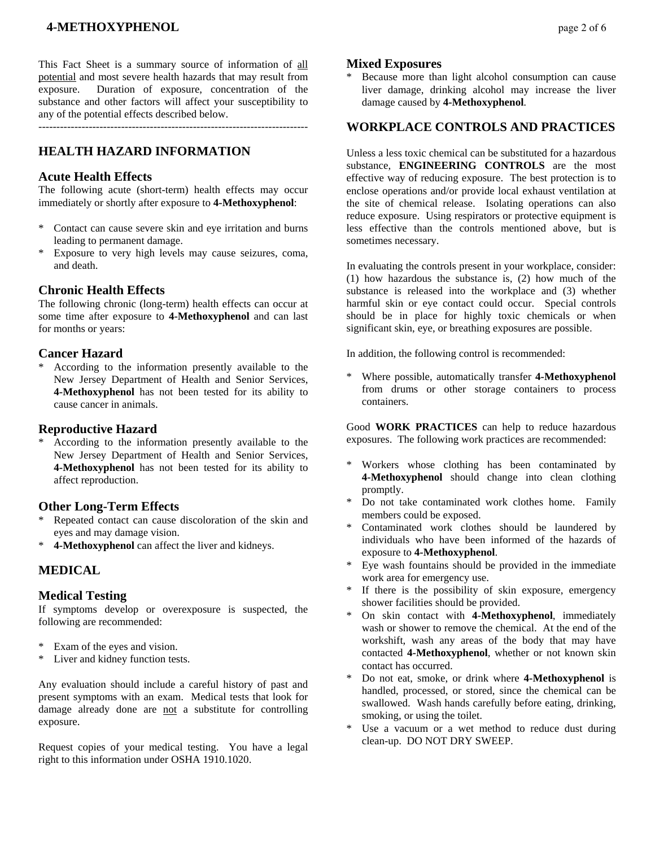# **4-METHOXYPHENOL** page 2 of 6

This Fact Sheet is a summary source of information of all potential and most severe health hazards that may result from exposure. Duration of exposure, concentration of the substance and other factors will affect your susceptibility to any of the potential effects described below.

---------------------------------------------------------------------------

### **HEALTH HAZARD INFORMATION**

### **Acute Health Effects**

The following acute (short-term) health effects may occur immediately or shortly after exposure to **4-Methoxyphenol**:

- \* Contact can cause severe skin and eye irritation and burns leading to permanent damage.
- \* Exposure to very high levels may cause seizures, coma, and death.

### **Chronic Health Effects**

The following chronic (long-term) health effects can occur at some time after exposure to **4-Methoxyphenol** and can last for months or years:

### **Cancer Hazard**

\* According to the information presently available to the New Jersey Department of Health and Senior Services, **4-Methoxyphenol** has not been tested for its ability to cause cancer in animals.

### **Reproductive Hazard**

According to the information presently available to the New Jersey Department of Health and Senior Services, **4-Methoxyphenol** has not been tested for its ability to affect reproduction.

### **Other Long-Term Effects**

- Repeated contact can cause discoloration of the skin and eyes and may damage vision.
- \* **4-Methoxyphenol** can affect the liver and kidneys.

### **MEDICAL**

### **Medical Testing**

If symptoms develop or overexposure is suspected, the following are recommended:

- Exam of the eyes and vision.
- \* Liver and kidney function tests.

Any evaluation should include a careful history of past and present symptoms with an exam. Medical tests that look for damage already done are not a substitute for controlling exposure.

Request copies of your medical testing. You have a legal right to this information under OSHA 1910.1020.

#### **Mixed Exposures**

Because more than light alcohol consumption can cause liver damage, drinking alcohol may increase the liver damage caused by **4-Methoxyphenol**.

### **WORKPLACE CONTROLS AND PRACTICES**

Unless a less toxic chemical can be substituted for a hazardous substance, **ENGINEERING CONTROLS** are the most effective way of reducing exposure. The best protection is to enclose operations and/or provide local exhaust ventilation at the site of chemical release. Isolating operations can also reduce exposure. Using respirators or protective equipment is less effective than the controls mentioned above, but is sometimes necessary.

In evaluating the controls present in your workplace, consider: (1) how hazardous the substance is, (2) how much of the substance is released into the workplace and (3) whether harmful skin or eye contact could occur. Special controls should be in place for highly toxic chemicals or when significant skin, eye, or breathing exposures are possible.

In addition, the following control is recommended:

\* Where possible, automatically transfer **4-Methoxyphenol** from drums or other storage containers to process containers.

Good **WORK PRACTICES** can help to reduce hazardous exposures. The following work practices are recommended:

- Workers whose clothing has been contaminated by **4-Methoxyphenol** should change into clean clothing promptly.
- \* Do not take contaminated work clothes home. Family members could be exposed.
- Contaminated work clothes should be laundered by individuals who have been informed of the hazards of exposure to **4-Methoxyphenol**.
- Eye wash fountains should be provided in the immediate work area for emergency use.
- \* If there is the possibility of skin exposure, emergency shower facilities should be provided.
- \* On skin contact with **4-Methoxyphenol**, immediately wash or shower to remove the chemical. At the end of the workshift, wash any areas of the body that may have contacted **4-Methoxyphenol**, whether or not known skin contact has occurred.
- Do not eat, smoke, or drink where **4-Methoxyphenol** is handled, processed, or stored, since the chemical can be swallowed. Wash hands carefully before eating, drinking, smoking, or using the toilet.
- Use a vacuum or a wet method to reduce dust during clean-up. DO NOT DRY SWEEP.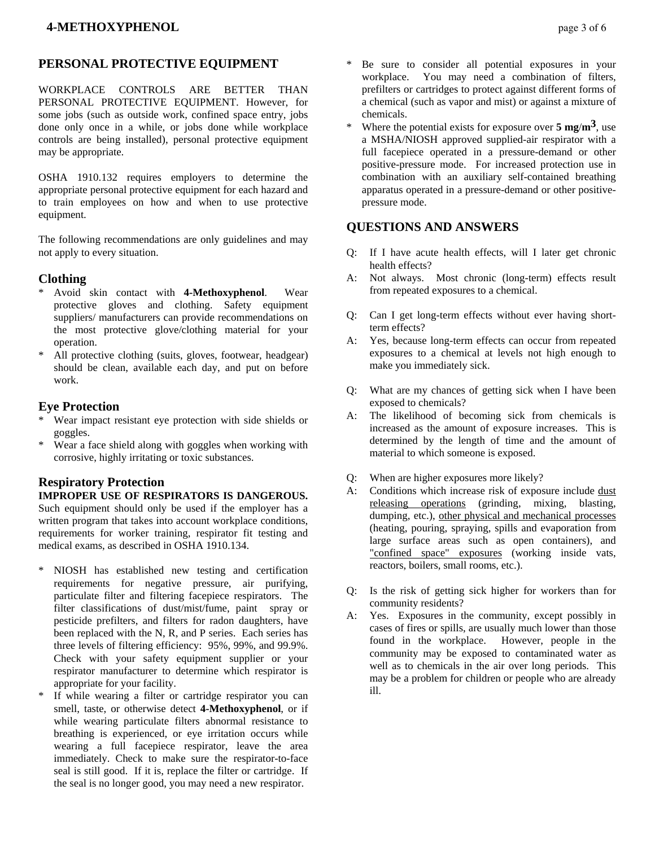# **PERSONAL PROTECTIVE EQUIPMENT**

WORKPLACE CONTROLS ARE BETTER THAN PERSONAL PROTECTIVE EQUIPMENT. However, for some jobs (such as outside work, confined space entry, jobs done only once in a while, or jobs done while workplace controls are being installed), personal protective equipment may be appropriate.

OSHA 1910.132 requires employers to determine the appropriate personal protective equipment for each hazard and to train employees on how and when to use protective equipment.

The following recommendations are only guidelines and may not apply to every situation.

# **Clothing**

- \* Avoid skin contact with **4-Methoxyphenol**. Wear protective gloves and clothing. Safety equipment suppliers/ manufacturers can provide recommendations on the most protective glove/clothing material for your operation.
- \* All protective clothing (suits, gloves, footwear, headgear) should be clean, available each day, and put on before work.

# **Eye Protection**

- Wear impact resistant eye protection with side shields or goggles.
- \* Wear a face shield along with goggles when working with corrosive, highly irritating or toxic substances.

# **Respiratory Protection**

**IMPROPER USE OF RESPIRATORS IS DANGEROUS.** Such equipment should only be used if the employer has a written program that takes into account workplace conditions, requirements for worker training, respirator fit testing and medical exams, as described in OSHA 1910.134.

- \* NIOSH has established new testing and certification requirements for negative pressure, air purifying, particulate filter and filtering facepiece respirators. The filter classifications of dust/mist/fume, paint spray or pesticide prefilters, and filters for radon daughters, have been replaced with the N, R, and P series. Each series has three levels of filtering efficiency: 95%, 99%, and 99.9%. Check with your safety equipment supplier or your respirator manufacturer to determine which respirator is appropriate for your facility.
- If while wearing a filter or cartridge respirator you can smell, taste, or otherwise detect **4-Methoxyphenol**, or if while wearing particulate filters abnormal resistance to breathing is experienced, or eye irritation occurs while wearing a full facepiece respirator, leave the area immediately. Check to make sure the respirator-to-face seal is still good. If it is, replace the filter or cartridge. If the seal is no longer good, you may need a new respirator.
- Be sure to consider all potential exposures in your workplace. You may need a combination of filters, prefilters or cartridges to protect against different forms of a chemical (such as vapor and mist) or against a mixture of chemicals.
- Where the potential exists for exposure over  $5 \text{ mg/m}^3$ , use a MSHA/NIOSH approved supplied-air respirator with a full facepiece operated in a pressure-demand or other positive-pressure mode. For increased protection use in combination with an auxiliary self-contained breathing apparatus operated in a pressure-demand or other positivepressure mode.

# **QUESTIONS AND ANSWERS**

- Q: If I have acute health effects, will I later get chronic health effects?
- A: Not always. Most chronic (long-term) effects result from repeated exposures to a chemical.
- Q: Can I get long-term effects without ever having shortterm effects?
- A: Yes, because long-term effects can occur from repeated exposures to a chemical at levels not high enough to make you immediately sick.
- Q: What are my chances of getting sick when I have been exposed to chemicals?
- A: The likelihood of becoming sick from chemicals is increased as the amount of exposure increases. This is determined by the length of time and the amount of material to which someone is exposed.
- Q: When are higher exposures more likely?
- A: Conditions which increase risk of exposure include dust releasing operations (grinding, mixing, blasting, dumping, etc.), other physical and mechanical processes (heating, pouring, spraying, spills and evaporation from large surface areas such as open containers), and "confined space" exposures (working inside vats, reactors, boilers, small rooms, etc.).
- Q: Is the risk of getting sick higher for workers than for community residents?
- A: Yes. Exposures in the community, except possibly in cases of fires or spills, are usually much lower than those found in the workplace. However, people in the community may be exposed to contaminated water as well as to chemicals in the air over long periods. This may be a problem for children or people who are already ill.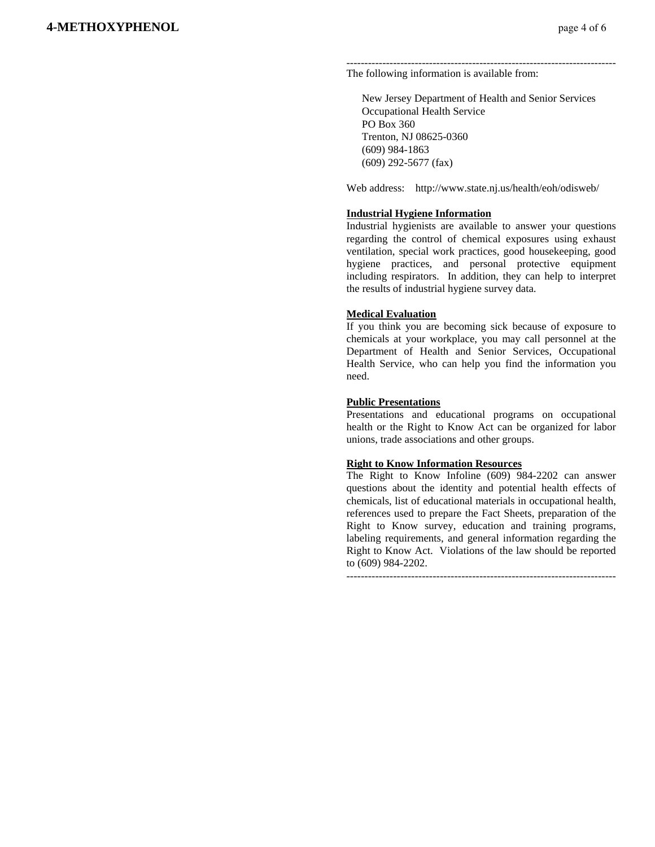#### --------------------------------------------------------------------------- The following information is available from:

 New Jersey Department of Health and Senior Services Occupational Health Service PO Box 360 Trenton, NJ 08625-0360 (609) 984-1863 (609) 292-5677 (fax)

Web address: http://www.state.nj.us/health/eoh/odisweb/

#### **Industrial Hygiene Information**

Industrial hygienists are available to answer your questions regarding the control of chemical exposures using exhaust ventilation, special work practices, good housekeeping, good hygiene practices, and personal protective equipment including respirators. In addition, they can help to interpret the results of industrial hygiene survey data.

#### **Medical Evaluation**

If you think you are becoming sick because of exposure to chemicals at your workplace, you may call personnel at the Department of Health and Senior Services, Occupational Health Service, who can help you find the information you need.

#### **Public Presentations**

Presentations and educational programs on occupational health or the Right to Know Act can be organized for labor unions, trade associations and other groups.

#### **Right to Know Information Resources**

The Right to Know Infoline (609) 984-2202 can answer questions about the identity and potential health effects of chemicals, list of educational materials in occupational health, references used to prepare the Fact Sheets, preparation of the Right to Know survey, education and training programs, labeling requirements, and general information regarding the Right to Know Act. Violations of the law should be reported to (609) 984-2202.

---------------------------------------------------------------------------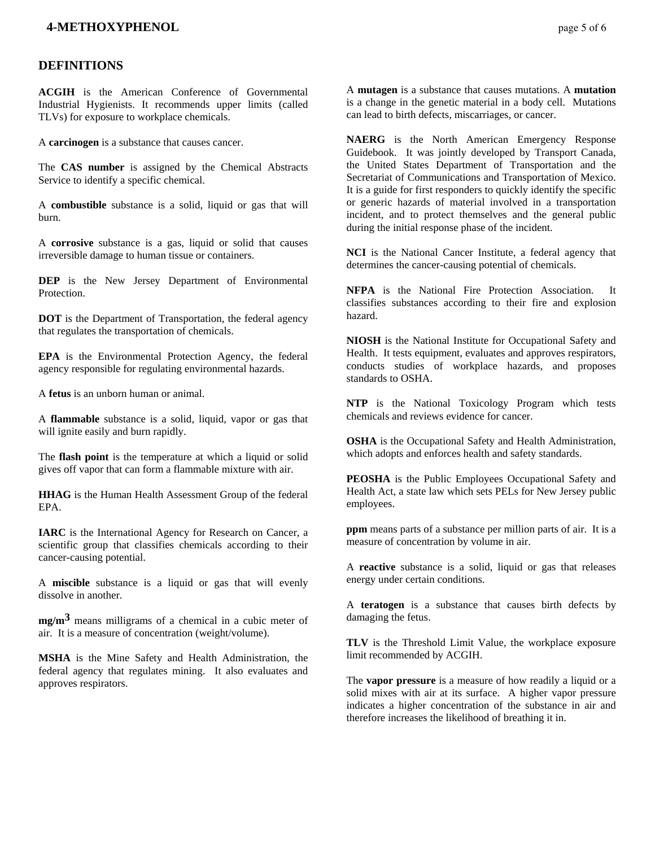### **<b>4-METHOXYPHENOL** page 5 of 6

### **DEFINITIONS**

**ACGIH** is the American Conference of Governmental Industrial Hygienists. It recommends upper limits (called TLVs) for exposure to workplace chemicals.

A **carcinogen** is a substance that causes cancer.

The **CAS number** is assigned by the Chemical Abstracts Service to identify a specific chemical.

A **combustible** substance is a solid, liquid or gas that will burn.

A **corrosive** substance is a gas, liquid or solid that causes irreversible damage to human tissue or containers.

**DEP** is the New Jersey Department of Environmental Protection.

**DOT** is the Department of Transportation, the federal agency that regulates the transportation of chemicals.

**EPA** is the Environmental Protection Agency, the federal agency responsible for regulating environmental hazards.

A **fetus** is an unborn human or animal.

A **flammable** substance is a solid, liquid, vapor or gas that will ignite easily and burn rapidly.

The **flash point** is the temperature at which a liquid or solid gives off vapor that can form a flammable mixture with air.

**HHAG** is the Human Health Assessment Group of the federal EPA.

**IARC** is the International Agency for Research on Cancer, a scientific group that classifies chemicals according to their cancer-causing potential.

A **miscible** substance is a liquid or gas that will evenly dissolve in another.

**mg/m3** means milligrams of a chemical in a cubic meter of air. It is a measure of concentration (weight/volume).

**MSHA** is the Mine Safety and Health Administration, the federal agency that regulates mining. It also evaluates and approves respirators.

A **mutagen** is a substance that causes mutations. A **mutation** is a change in the genetic material in a body cell. Mutations can lead to birth defects, miscarriages, or cancer.

**NAERG** is the North American Emergency Response Guidebook. It was jointly developed by Transport Canada, the United States Department of Transportation and the Secretariat of Communications and Transportation of Mexico. It is a guide for first responders to quickly identify the specific or generic hazards of material involved in a transportation incident, and to protect themselves and the general public during the initial response phase of the incident.

**NCI** is the National Cancer Institute, a federal agency that determines the cancer-causing potential of chemicals.

**NFPA** is the National Fire Protection Association. It classifies substances according to their fire and explosion hazard.

**NIOSH** is the National Institute for Occupational Safety and Health. It tests equipment, evaluates and approves respirators, conducts studies of workplace hazards, and proposes standards to OSHA.

**NTP** is the National Toxicology Program which tests chemicals and reviews evidence for cancer.

**OSHA** is the Occupational Safety and Health Administration, which adopts and enforces health and safety standards.

**PEOSHA** is the Public Employees Occupational Safety and Health Act, a state law which sets PELs for New Jersey public employees.

**ppm** means parts of a substance per million parts of air. It is a measure of concentration by volume in air.

A **reactive** substance is a solid, liquid or gas that releases energy under certain conditions.

A **teratogen** is a substance that causes birth defects by damaging the fetus.

**TLV** is the Threshold Limit Value, the workplace exposure limit recommended by ACGIH.

The **vapor pressure** is a measure of how readily a liquid or a solid mixes with air at its surface. A higher vapor pressure indicates a higher concentration of the substance in air and therefore increases the likelihood of breathing it in.